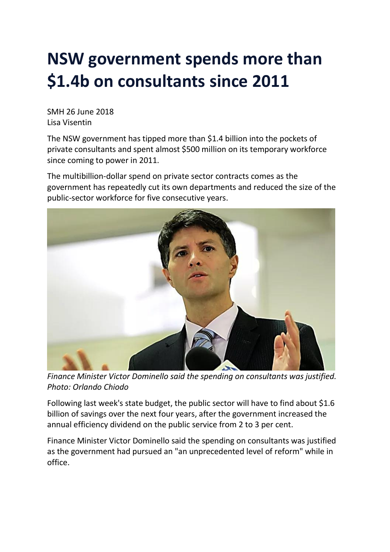## **NSW government spends more than \$1.4b on consultants since 2011**

SMH 26 June 2018 Lisa Visentin

The NSW government has tipped more than \$1.4 billion into the pockets of private consultants and spent almost \$500 million on its temporary workforce since coming to power in 2011.

The multibillion-dollar spend on private sector contracts comes as the government has repeatedly cut its own departments and reduced the size of the public-sector workforce for five consecutive years.



*Finance Minister Victor Dominello said the spending on consultants was justified. Photo: Orlando Chiodo*

Following last week's state budget, the public sector will have to find about \$1.6 billion of savings over the next four years, after the government increased the annual efficiency dividend on the public service from 2 to 3 per cent.

Finance Minister Victor Dominello said the spending on consultants was justified as the government had pursued an "an unprecedented level of reform" while in office.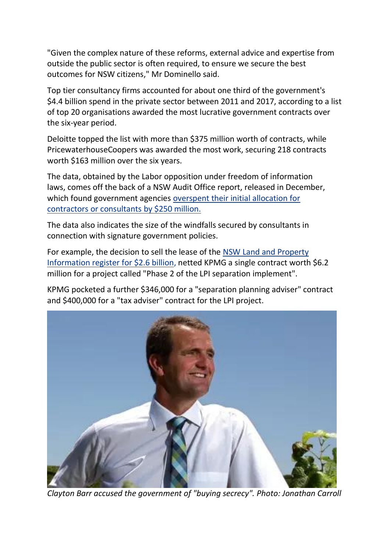"Given the complex nature of these reforms, external advice and expertise from outside the public sector is often required, to ensure we secure the best outcomes for NSW citizens," Mr Dominello said.

Top tier consultancy firms accounted for about one third of the government's \$4.4 billion spend in the private sector between 2011 and 2017, according to a list of top 20 organisations awarded the most lucrative government contracts over the six-year period.

Deloitte topped the list with more than \$375 million worth of contracts, while PricewaterhouseCoopers was awarded the most work, securing 218 contracts worth \$163 million over the six years.

The data, obtained by the Labor opposition under freedom of information laws, comes off the back of a NSW Audit Office report, released in December, which found government agencies [overspent](https://www.smh.com.au/national/nsw/government-spending-on-consultants-blows-out-by-250m-auditor-20171222-h09bso.html) their initial allocation for contractors or [consultants](https://www.smh.com.au/national/nsw/government-spending-on-consultants-blows-out-by-250m-auditor-20171222-h09bso.html) by \$250 million.

The data also indicates the size of the windfalls secured by consultants in connection with signature government policies.

For example, the decision to sell the lease of the NSW Land and [Property](https://www.smh.com.au/link/follow-20170101-gvjcfw) [Information](https://www.smh.com.au/link/follow-20170101-gvjcfw) register for \$2.6 billion, netted KPMG a single contract worth \$6.2 million for a project called "Phase 2 of the LPI separation implement".

KPMG pocketed a further \$346,000 for a "separation planning adviser" contract and \$400,000 for a "tax adviser" contract for the LPI project.



*Clayton Barr accused the government of "buying secrecy". Photo: Jonathan Carroll*